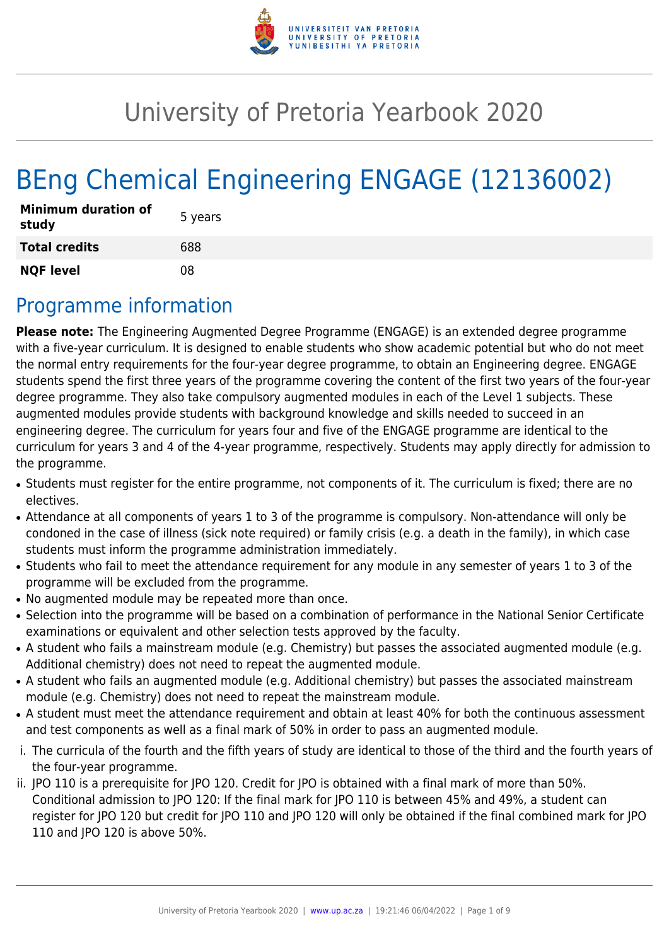

# University of Pretoria Yearbook 2020

# BEng Chemical Engineering ENGAGE (12136002)

| <b>Minimum duration of</b><br>study | 5 years |
|-------------------------------------|---------|
| <b>Total credits</b>                | 688     |
| <b>NQF level</b>                    | 08      |

# Programme information

**Please note:** The Engineering Augmented Degree Programme (ENGAGE) is an extended degree programme with a five-year curriculum. It is designed to enable students who show academic potential but who do not meet the normal entry requirements for the four-year degree programme, to obtain an Engineering degree. ENGAGE students spend the first three years of the programme covering the content of the first two years of the four-year degree programme. They also take compulsory augmented modules in each of the Level 1 subjects. These augmented modules provide students with background knowledge and skills needed to succeed in an engineering degree. The curriculum for years four and five of the ENGAGE programme are identical to the curriculum for years 3 and 4 of the 4-year programme, respectively. Students may apply directly for admission to the programme.

- Students must register for the entire programme, not components of it. The curriculum is fixed; there are no electives.
- Attendance at all components of years 1 to 3 of the programme is compulsory. Non-attendance will only be condoned in the case of illness (sick note required) or family crisis (e.g. a death in the family), in which case students must inform the programme administration immediately.
- Students who fail to meet the attendance requirement for any module in any semester of years 1 to 3 of the programme will be excluded from the programme.
- No augmented module may be repeated more than once.
- Selection into the programme will be based on a combination of performance in the National Senior Certificate examinations or equivalent and other selection tests approved by the faculty.
- A student who fails a mainstream module (e.g. Chemistry) but passes the associated augmented module (e.g. Additional chemistry) does not need to repeat the augmented module.
- A student who fails an augmented module (e.g. Additional chemistry) but passes the associated mainstream module (e.g. Chemistry) does not need to repeat the mainstream module.
- A student must meet the attendance requirement and obtain at least 40% for both the continuous assessment and test components as well as a final mark of 50% in order to pass an augmented module.
- i. The curricula of the fourth and the fifth years of study are identical to those of the third and the fourth years of the four-year programme.
- ii. JPO 110 is a prerequisite for JPO 120. Credit for JPO is obtained with a final mark of more than 50%. Conditional admission to JPO 120: If the final mark for JPO 110 is between 45% and 49%, a student can register for JPO 120 but credit for JPO 110 and JPO 120 will only be obtained if the final combined mark for JPO 110 and JPO 120 is above 50%.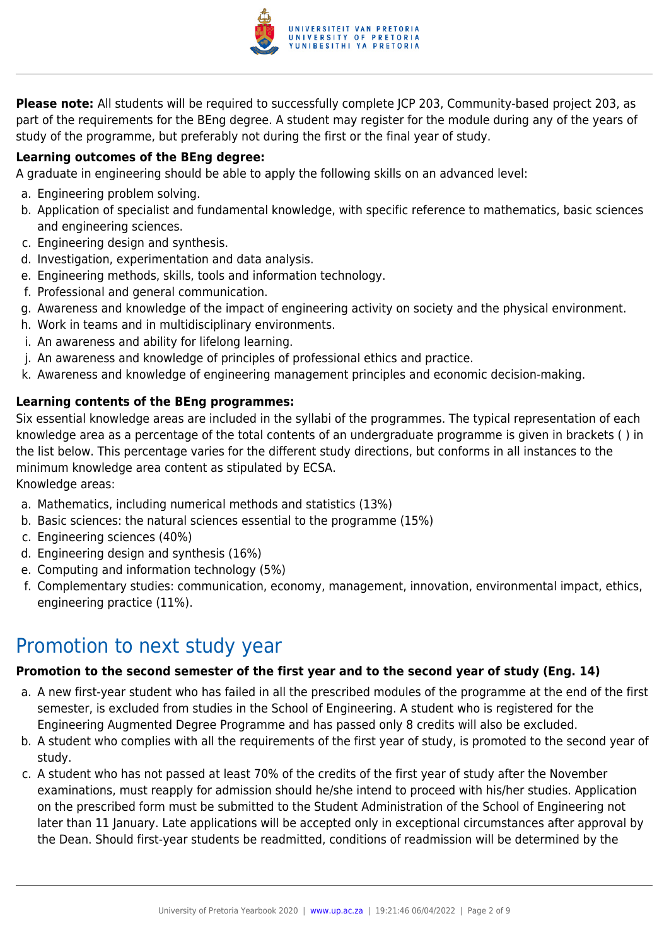

**Please note:** All students will be required to successfully complete JCP 203, Community-based project 203, as part of the requirements for the BEng degree. A student may register for the module during any of the years of study of the programme, but preferably not during the first or the final year of study.

### **Learning outcomes of the BEng degree:**

A graduate in engineering should be able to apply the following skills on an advanced level:

- a. Engineering problem solving.
- b. Application of specialist and fundamental knowledge, with specific reference to mathematics, basic sciences and engineering sciences.
- c. Engineering design and synthesis.
- d. Investigation, experimentation and data analysis.
- e. Engineering methods, skills, tools and information technology.
- f. Professional and general communication.
- g. Awareness and knowledge of the impact of engineering activity on society and the physical environment.
- h. Work in teams and in multidisciplinary environments.
- i. An awareness and ability for lifelong learning.
- j. An awareness and knowledge of principles of professional ethics and practice.
- k. Awareness and knowledge of engineering management principles and economic decision-making.

#### **Learning contents of the BEng programmes:**

Six essential knowledge areas are included in the syllabi of the programmes. The typical representation of each knowledge area as a percentage of the total contents of an undergraduate programme is given in brackets ( ) in the list below. This percentage varies for the different study directions, but conforms in all instances to the minimum knowledge area content as stipulated by ECSA.

Knowledge areas:

- a. Mathematics, including numerical methods and statistics (13%)
- b. Basic sciences: the natural sciences essential to the programme (15%)
- c. Engineering sciences (40%)
- d. Engineering design and synthesis (16%)
- e. Computing and information technology (5%)
- f. Complementary studies: communication, economy, management, innovation, environmental impact, ethics, engineering practice (11%).

### Promotion to next study year

#### **Promotion to the second semester of the first year and to the second year of study (Eng. 14)**

- a. A new first-year student who has failed in all the prescribed modules of the programme at the end of the first semester, is excluded from studies in the School of Engineering. A student who is registered for the Engineering Augmented Degree Programme and has passed only 8 credits will also be excluded.
- b. A student who complies with all the requirements of the first year of study, is promoted to the second year of study.
- c. A student who has not passed at least 70% of the credits of the first year of study after the November examinations, must reapply for admission should he/she intend to proceed with his/her studies. Application on the prescribed form must be submitted to the Student Administration of the School of Engineering not later than 11 January. Late applications will be accepted only in exceptional circumstances after approval by the Dean. Should first-year students be readmitted, conditions of readmission will be determined by the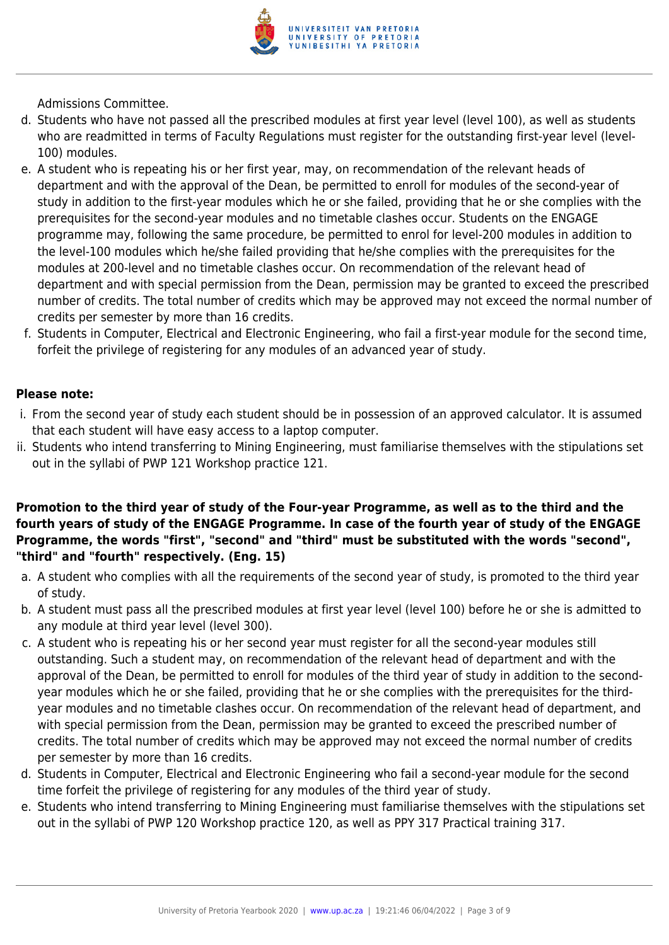

Admissions Committee.

- d. Students who have not passed all the prescribed modules at first year level (level 100), as well as students who are readmitted in terms of Faculty Regulations must register for the outstanding first-year level (level-100) modules.
- e. A student who is repeating his or her first year, may, on recommendation of the relevant heads of department and with the approval of the Dean, be permitted to enroll for modules of the second-year of study in addition to the first-year modules which he or she failed, providing that he or she complies with the prerequisites for the second-year modules and no timetable clashes occur. Students on the ENGAGE programme may, following the same procedure, be permitted to enrol for level-200 modules in addition to the level-100 modules which he/she failed providing that he/she complies with the prerequisites for the modules at 200-level and no timetable clashes occur. On recommendation of the relevant head of department and with special permission from the Dean, permission may be granted to exceed the prescribed number of credits. The total number of credits which may be approved may not exceed the normal number of credits per semester by more than 16 credits.
- f. Students in Computer, Electrical and Electronic Engineering, who fail a first-year module for the second time, forfeit the privilege of registering for any modules of an advanced year of study.

#### **Please note:**

- i. From the second year of study each student should be in possession of an approved calculator. It is assumed that each student will have easy access to a laptop computer.
- ii. Students who intend transferring to Mining Engineering, must familiarise themselves with the stipulations set out in the syllabi of PWP 121 Workshop practice 121.

### **Promotion to the third year of study of the Four-year Programme, as well as to the third and the fourth years of study of the ENGAGE Programme. In case of the fourth year of study of the ENGAGE Programme, the words "first", "second" and "third" must be substituted with the words "second", "third" and "fourth" respectively. (Eng. 15)**

- a. A student who complies with all the requirements of the second year of study, is promoted to the third year of study.
- b. A student must pass all the prescribed modules at first year level (level 100) before he or she is admitted to any module at third year level (level 300).
- c. A student who is repeating his or her second year must register for all the second-year modules still outstanding. Such a student may, on recommendation of the relevant head of department and with the approval of the Dean, be permitted to enroll for modules of the third year of study in addition to the secondyear modules which he or she failed, providing that he or she complies with the prerequisites for the thirdyear modules and no timetable clashes occur. On recommendation of the relevant head of department, and with special permission from the Dean, permission may be granted to exceed the prescribed number of credits. The total number of credits which may be approved may not exceed the normal number of credits per semester by more than 16 credits.
- d. Students in Computer, Electrical and Electronic Engineering who fail a second-year module for the second time forfeit the privilege of registering for any modules of the third year of study.
- e. Students who intend transferring to Mining Engineering must familiarise themselves with the stipulations set out in the syllabi of PWP 120 Workshop practice 120, as well as PPY 317 Practical training 317.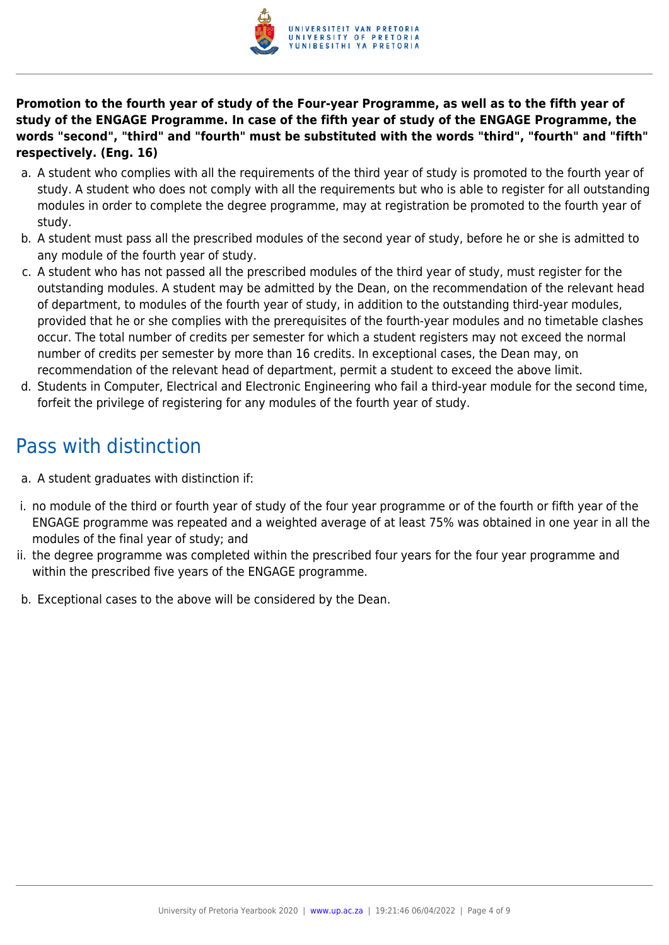

**Promotion to the fourth year of study of the Four-year Programme, as well as to the fifth year of study of the ENGAGE Programme. In case of the fifth year of study of the ENGAGE Programme, the words "second", "third" and "fourth" must be substituted with the words "third", "fourth" and "fifth" respectively. (Eng. 16)**

- a. A student who complies with all the requirements of the third year of study is promoted to the fourth year of study. A student who does not comply with all the requirements but who is able to register for all outstanding modules in order to complete the degree programme, may at registration be promoted to the fourth year of study.
- b. A student must pass all the prescribed modules of the second year of study, before he or she is admitted to any module of the fourth year of study.
- c. A student who has not passed all the prescribed modules of the third year of study, must register for the outstanding modules. A student may be admitted by the Dean, on the recommendation of the relevant head of department, to modules of the fourth year of study, in addition to the outstanding third-year modules, provided that he or she complies with the prerequisites of the fourth-year modules and no timetable clashes occur. The total number of credits per semester for which a student registers may not exceed the normal number of credits per semester by more than 16 credits. In exceptional cases, the Dean may, on recommendation of the relevant head of department, permit a student to exceed the above limit.
- d. Students in Computer, Electrical and Electronic Engineering who fail a third-year module for the second time, forfeit the privilege of registering for any modules of the fourth year of study.

# Pass with distinction

- a. A student graduates with distinction if:
- i. no module of the third or fourth year of study of the four year programme or of the fourth or fifth year of the ENGAGE programme was repeated and a weighted average of at least 75% was obtained in one year in all the modules of the final year of study; and
- ii. the degree programme was completed within the prescribed four years for the four year programme and within the prescribed five years of the ENGAGE programme.
- b. Exceptional cases to the above will be considered by the Dean.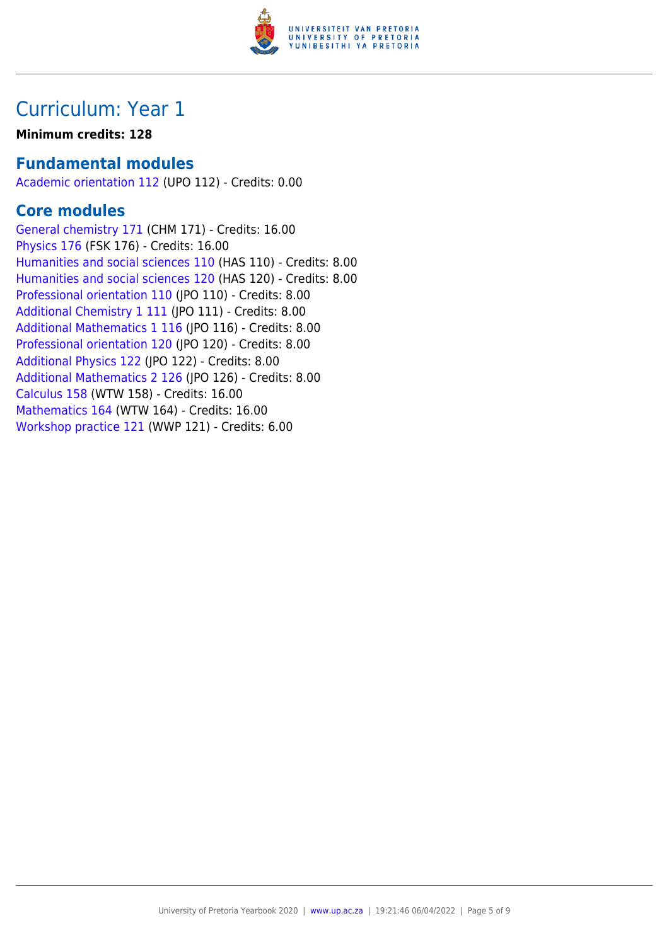

### **Minimum credits: 128**

### **Fundamental modules**

[Academic orientation 112](https://www.up.ac.za/faculty-of-education/yearbooks/2020/modules/view/UPO 112) (UPO 112) - Credits: 0.00

### **Core modules**

[General chemistry 171](https://www.up.ac.za/faculty-of-education/yearbooks/2020/modules/view/CHM 171) (CHM 171) - Credits: 16.00 [Physics 176](https://www.up.ac.za/faculty-of-education/yearbooks/2020/modules/view/FSK 176) (FSK 176) - Credits: 16.00 [Humanities and social sciences 110](https://www.up.ac.za/faculty-of-education/yearbooks/2020/modules/view/HAS 110) (HAS 110) - Credits: 8.00 [Humanities and social sciences 120](https://www.up.ac.za/faculty-of-education/yearbooks/2020/modules/view/HAS 120) (HAS 120) - Credits: 8.00 [Professional orientation 110](https://www.up.ac.za/faculty-of-education/yearbooks/2020/modules/view/JPO 110) (JPO 110) - Credits: 8.00 [Additional Chemistry 1 111](https://www.up.ac.za/faculty-of-education/yearbooks/2020/modules/view/JPO 111) (JPO 111) - Credits: 8.00 [Additional Mathematics 1 116](https://www.up.ac.za/faculty-of-education/yearbooks/2020/modules/view/JPO 116) (JPO 116) - Credits: 8.00 [Professional orientation 120](https://www.up.ac.za/faculty-of-education/yearbooks/2020/modules/view/JPO 120) (JPO 120) - Credits: 8.00 [Additional Physics 122](https://www.up.ac.za/faculty-of-education/yearbooks/2020/modules/view/JPO 122) (JPO 122) - Credits: 8.00 [Additional Mathematics 2 126](https://www.up.ac.za/faculty-of-education/yearbooks/2020/modules/view/JPO 126) (JPO 126) - Credits: 8.00 [Calculus 158](https://www.up.ac.za/faculty-of-education/yearbooks/2020/modules/view/WTW 158) (WTW 158) - Credits: 16.00 [Mathematics 164](https://www.up.ac.za/faculty-of-education/yearbooks/2020/modules/view/WTW 164) (WTW 164) - Credits: 16.00 [Workshop practice 121](https://www.up.ac.za/faculty-of-education/yearbooks/2020/modules/view/WWP 121) (WWP 121) - Credits: 6.00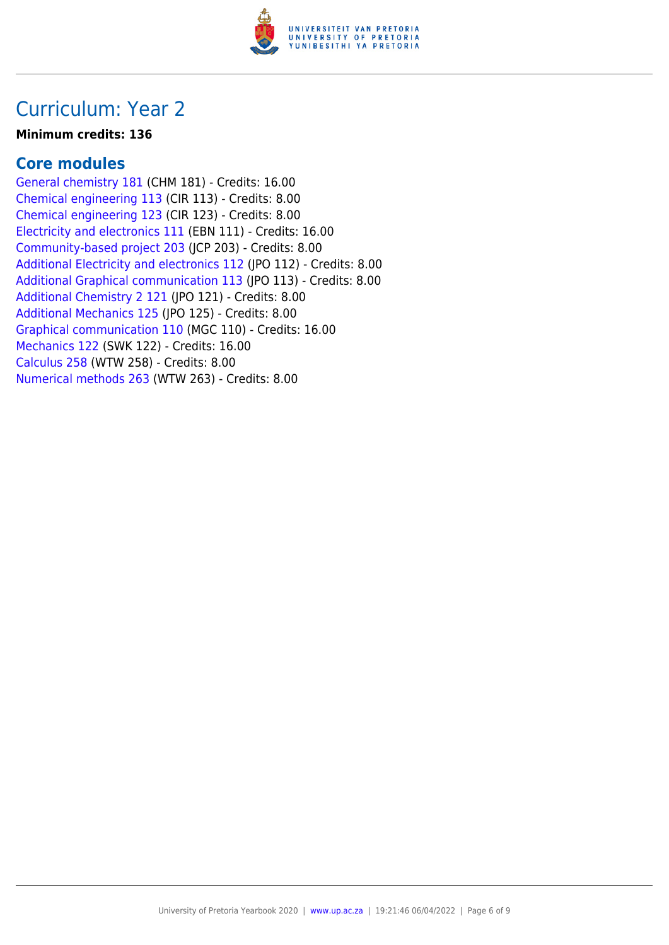

### **Minimum credits: 136**

### **Core modules**

[General chemistry 181](https://www.up.ac.za/faculty-of-education/yearbooks/2020/modules/view/CHM 181) (CHM 181) - Credits: 16.00 [Chemical engineering 113](https://www.up.ac.za/faculty-of-education/yearbooks/2020/modules/view/CIR 113) (CIR 113) - Credits: 8.00 [Chemical engineering 123](https://www.up.ac.za/faculty-of-education/yearbooks/2020/modules/view/CIR 123) (CIR 123) - Credits: 8.00 [Electricity and electronics 111](https://www.up.ac.za/faculty-of-education/yearbooks/2020/modules/view/EBN 111) (EBN 111) - Credits: 16.00 [Community-based project 203](https://www.up.ac.za/faculty-of-education/yearbooks/2020/modules/view/JCP 203) (JCP 203) - Credits: 8.00 [Additional Electricity and electronics 112](https://www.up.ac.za/faculty-of-education/yearbooks/2020/modules/view/JPO 112) (JPO 112) - Credits: 8.00 [Additional Graphical communication 113](https://www.up.ac.za/faculty-of-education/yearbooks/2020/modules/view/JPO 113) (JPO 113) - Credits: 8.00 [Additional Chemistry 2 121](https://www.up.ac.za/faculty-of-education/yearbooks/2020/modules/view/JPO 121) (JPO 121) - Credits: 8.00 [Additional Mechanics 125](https://www.up.ac.za/faculty-of-education/yearbooks/2020/modules/view/JPO 125) (JPO 125) - Credits: 8.00 [Graphical communication 110](https://www.up.ac.za/faculty-of-education/yearbooks/2020/modules/view/MGC 110) (MGC 110) - Credits: 16.00 [Mechanics 122](https://www.up.ac.za/faculty-of-education/yearbooks/2020/modules/view/SWK 122) (SWK 122) - Credits: 16.00 [Calculus 258](https://www.up.ac.za/faculty-of-education/yearbooks/2020/modules/view/WTW 258) (WTW 258) - Credits: 8.00 [Numerical methods 263](https://www.up.ac.za/faculty-of-education/yearbooks/2020/modules/view/WTW 263) (WTW 263) - Credits: 8.00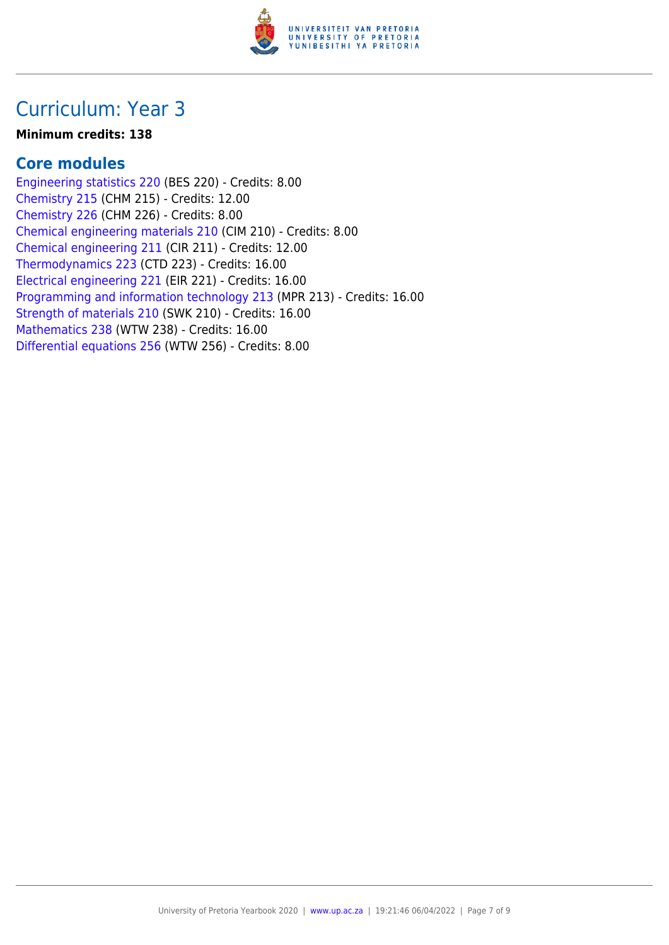

#### **Minimum credits: 138**

### **Core modules**

[Engineering statistics 220](https://www.up.ac.za/faculty-of-education/yearbooks/2020/modules/view/BES 220) (BES 220) - Credits: 8.00 [Chemistry 215](https://www.up.ac.za/faculty-of-education/yearbooks/2020/modules/view/CHM 215) (CHM 215) - Credits: 12.00 [Chemistry 226](https://www.up.ac.za/faculty-of-education/yearbooks/2020/modules/view/CHM 226) (CHM 226) - Credits: 8.00 [Chemical engineering materials 210](https://www.up.ac.za/faculty-of-education/yearbooks/2020/modules/view/CIM 210) (CIM 210) - Credits: 8.00 [Chemical engineering 211](https://www.up.ac.za/faculty-of-education/yearbooks/2020/modules/view/CIR 211) (CIR 211) - Credits: 12.00 [Thermodynamics 223](https://www.up.ac.za/faculty-of-education/yearbooks/2020/modules/view/CTD 223) (CTD 223) - Credits: 16.00 [Electrical engineering 221](https://www.up.ac.za/faculty-of-education/yearbooks/2020/modules/view/EIR 221) (EIR 221) - Credits: 16.00 [Programming and information technology 213](https://www.up.ac.za/faculty-of-education/yearbooks/2020/modules/view/MPR 213) (MPR 213) - Credits: 16.00 [Strength of materials 210](https://www.up.ac.za/faculty-of-education/yearbooks/2020/modules/view/SWK 210) (SWK 210) - Credits: 16.00 [Mathematics 238](https://www.up.ac.za/faculty-of-education/yearbooks/2020/modules/view/WTW 238) (WTW 238) - Credits: 16.00 [Differential equations 256](https://www.up.ac.za/faculty-of-education/yearbooks/2020/modules/view/WTW 256) (WTW 256) - Credits: 8.00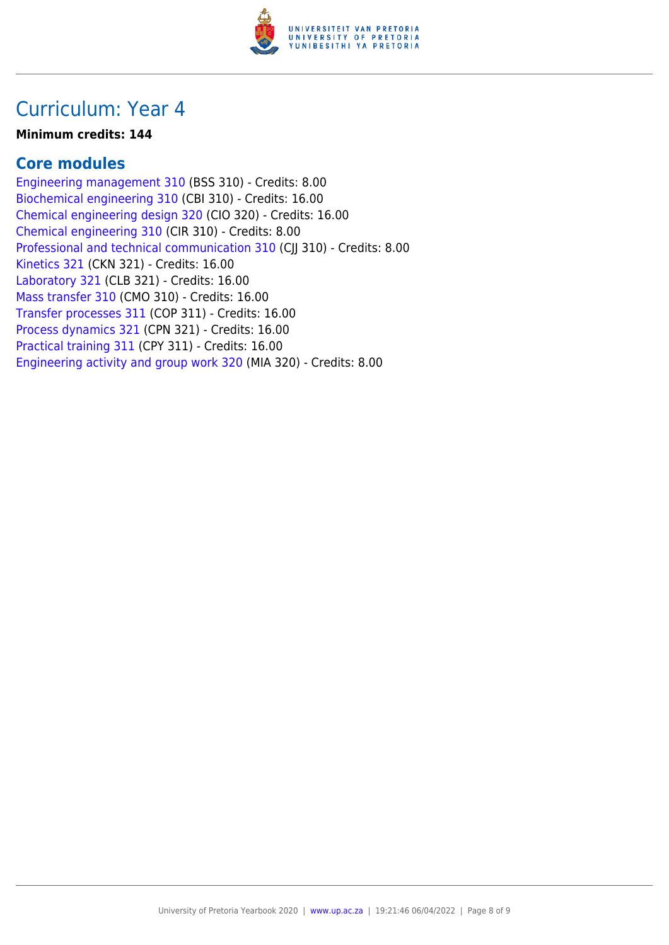

### **Minimum credits: 144**

### **Core modules**

[Engineering management 310](https://www.up.ac.za/faculty-of-education/yearbooks/2020/modules/view/BSS 310) (BSS 310) - Credits: 8.00 [Biochemical engineering 310](https://www.up.ac.za/faculty-of-education/yearbooks/2020/modules/view/CBI 310) (CBI 310) - Credits: 16.00 [Chemical engineering design 320](https://www.up.ac.za/faculty-of-education/yearbooks/2020/modules/view/CIO 320) (CIO 320) - Credits: 16.00 [Chemical engineering 310](https://www.up.ac.za/faculty-of-education/yearbooks/2020/modules/view/CIR 310) (CIR 310) - Credits: 8.00 [Professional and technical communication 310](https://www.up.ac.za/faculty-of-education/yearbooks/2020/modules/view/CJJ 310) (CJJ 310) - Credits: 8.00 [Kinetics 321](https://www.up.ac.za/faculty-of-education/yearbooks/2020/modules/view/CKN 321) (CKN 321) - Credits: 16.00 [Laboratory 321](https://www.up.ac.za/faculty-of-education/yearbooks/2020/modules/view/CLB 321) (CLB 321) - Credits: 16.00 [Mass transfer 310](https://www.up.ac.za/faculty-of-education/yearbooks/2020/modules/view/CMO 310) (CMO 310) - Credits: 16.00 [Transfer processes 311](https://www.up.ac.za/faculty-of-education/yearbooks/2020/modules/view/COP 311) (COP 311) - Credits: 16.00 [Process dynamics 321](https://www.up.ac.za/faculty-of-education/yearbooks/2020/modules/view/CPN 321) (CPN 321) - Credits: 16.00 [Practical training 311](https://www.up.ac.za/faculty-of-education/yearbooks/2020/modules/view/CPY 311) (CPY 311) - Credits: 16.00 [Engineering activity and group work 320](https://www.up.ac.za/faculty-of-education/yearbooks/2020/modules/view/MIA 320) (MIA 320) - Credits: 8.00